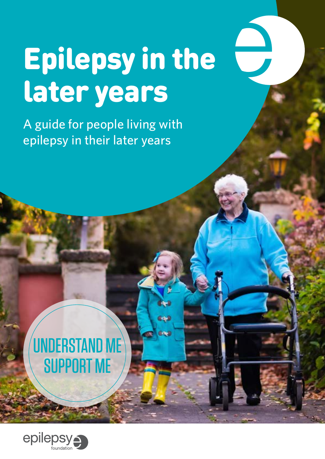# Epilepsy in the later years

فجاه

**Idea** 

A guide for people living with epilepsy in their later years

## UNDERSTAND ME **SUPPORT ME**

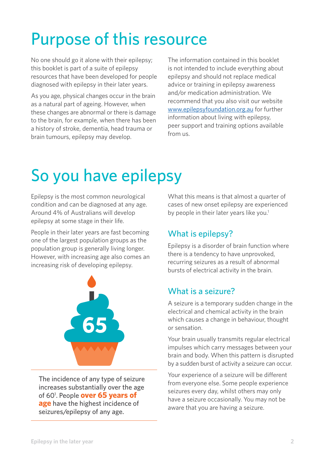## Purpose of this resource

No one should go it alone with their epilepsy; this booklet is part of a suite of epilepsy resources that have been developed for people diagnosed with epilepsy in their later years.

As you age, physical changes occur in the brain as a natural part of ageing. However, when these changes are abnormal or there is damage to the brain, for example, when there has been a history of stroke, dementia, head trauma or brain tumours, epilepsy may develop.

The information contained in this booklet is not intended to include everything about epilepsy and should not replace medical advice or training in epilepsy awareness and/or medication administration. We recommend that you also visit our website www.[epilepsyfoundation.org.au](http://epilepsyfoundation.org.au/) for further information about living with epilepsy, peer support and training options available from us.

## So you have epilepsy

Epilepsy is the most common neurological condition and can be diagnosed at any age. Around 4% of Australians will develop epilepsy at some stage in their life.

People in their later years are fast becoming one of the largest population groups as the population group is generally living longer. However, with increasing age also comes an increasing risk of developing epilepsy.



The incidence of any type of seizure increases substantially over the age of 601 . People **over 65 years of age** have the highest incidence of seizures/epilepsy of any age.

What this means is that almost a quarter of cases of new onset epilepsy are experienced by people in their later years like you.<sup>1</sup>

## What is epilepsy?

Epilepsy is a disorder of brain function where there is a tendency to have unprovoked, recurring seizures as a result of abnormal bursts of electrical activity in the brain.

## What is a seizure?

A seizure is a temporary sudden change in the electrical and chemical activity in the brain which causes a change in behaviour, thought or sensation.

Your brain usually transmits regular electrical impulses which carry messages between your brain and body. When this pattern is disrupted by a sudden burst of activity a seizure can occur.

Your experience of a seizure will be different from everyone else. Some people experience seizures every day, whilst others may only have a seizure occasionally. You may not be aware that you are having a seizure.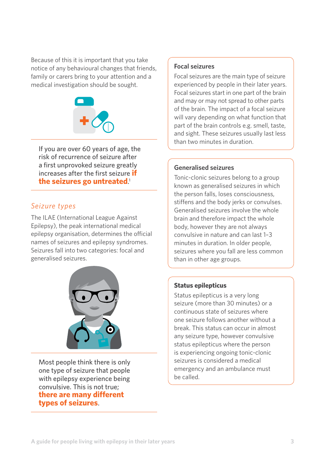Because of this it is important that you take notice of any behavioural changes that friends, family or carers bring to your attention and a medical investigation should be sought.



If you are over 60 years of age, the risk of recurrence of seizure after a first unprovoked seizure greatly increases after the first seizure **if the seizures go untreated**. 1

### *Seizure types*

The ILAE (International League Against Epilepsy), the peak international medical epilepsy organisation, determines the official names of seizures and epilepsy syndromes. Seizures fall into two categories: focal and generalised seizures.



Most people think there is only one type of seizure that people with epilepsy experience being convulsive. This is not true; **there are many different types of seizures**.

#### **Focal seizures**

Focal seizures are the main type of seizure experienced by people in their later years. Focal seizures start in one part of the brain and may or may not spread to other parts of the brain. The impact of a focal seizure will vary depending on what function that part of the brain controls e.g. smell, taste, and sight. These seizures usually last less than two minutes in duration.

#### **Generalised seizures**

Tonic-clonic seizures belong to a group known as generalised seizures in which the person falls, loses consciousness, stiffens and the body jerks or convulses. Generalised seizures involve the whole brain and therefore impact the whole body, however they are not always convulsive in nature and can last 1–3 minutes in duration. In older people, seizures where you fall are less common than in other age groups.

#### **Status epilepticus**

Status epilepticus is a very long seizure (more than 30 minutes) or a continuous state of seizures where one seizure follows another without a break. This status can occur in almost any seizure type, however convulsive status epilepticus where the person is experiencing ongoing tonic-clonic seizures is considered a medical emergency and an ambulance must be called.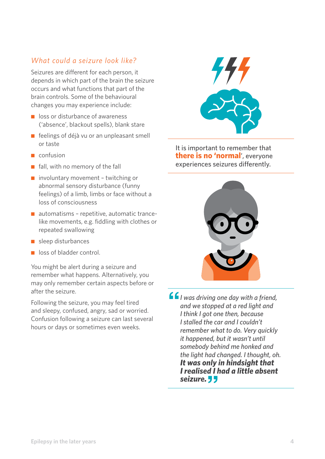## *What could a seizure look like?*

Seizures are different for each person, it depends in which part of the brain the seizure occurs and what functions that part of the brain controls. Some of the behavioural changes you may experience include:

- loss or disturbance of awareness ('absence', blackout spells), blank stare
- feelings of déjà vu or an unpleasant smell or taste
- confusion
- fall, with no memory of the fall
- involuntary movement twitching or abnormal sensory disturbance (funny feelings) of a limb, limbs or face without a loss of consciousness
- automatisms repetitive, automatic trancelike movements, e.g. fiddling with clothes or repeated swallowing
- sleep disturbances
- loss of bladder control.

You might be alert during a seizure and remember what happens. Alternatively, you may only remember certain aspects before or after the seizure.

Following the seizure, you may feel tired and sleepy, confused, angry, sad or worried. Confusion following a seizure can last several hours or days or sometimes even weeks.



It is important to remember that **there is no 'normal**', everyone experiences seizures differently.



**f**/*I* was driving one day with a friend, *and we stopped at a red light and I think I got one then, because I stalled the car and I couldn't remember what to do. Very quickly it happened, but it wasn't until somebody behind me honked and the light had changed. I thought, oh. It was only in hindsight that I realised I had a little absent*  seizure.<sup>*''*</sup>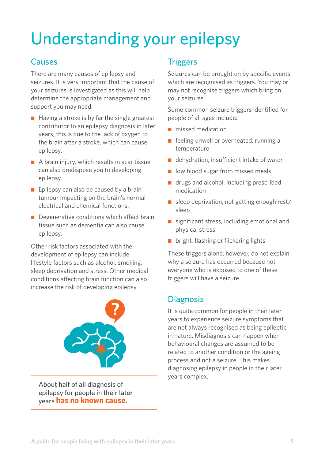## Understanding your epilepsy

## Causes

There are many causes of epilepsy and seizures. It is very important that the cause of your seizures is investigated as this will help determine the appropriate management and support you may need.

- $\blacksquare$  Having a stroke is by far the single greatest contributor to an epilepsy diagnosis in later years, this is due to the lack of oxygen to the brain after a stroke, which can cause epilepsy.
- A brain injury, which results in scar tissue can also predispose you to developing epilepsy.
- $\blacksquare$  Epilepsy can also be caused by a brain tumour impacting on the brain's normal electrical and chemical functions,
- Degenerative conditions which affect brain tissue such as dementia can also cause epilepsy.

Other risk factors associated with the development of epilepsy can include lifestyle factors such as alcohol, smoking, sleep deprivation and stress. Other medical conditions affecting brain function can also increase the risk of developing epilepsy.



About half of all diagnosis of epilepsy for people in their later years **has no known cause**.

## **Triggers**

Seizures can be brought on by specific events which are recognised as triggers. You may or may not recognise triggers which bring on your seizures.

Some common seizure triggers identified for people of all ages include:

- missed medication
- feeling unwell or overheated, running a temperature
- dehydration, insufficient intake of water
- low blood sugar from missed meals
- drugs and alcohol, including prescribed medication
- $\blacksquare$  sleep deprivation, not getting enough rest/ sleep
- significant stress, including emotional and physical stress
- bright, flashing or flickering lights

These triggers alone, however, do not explain why a seizure has occurred because not everyone who is exposed to one of these triggers will have a seizure.

## **Diagnosis**

It is quite common for people in their later years to experience seizure symptoms that are not always recognised as being epileptic in nature. Misdiagnosis can happen when behavioural changes are assumed to be related to another condition or the ageing process and not a seizure. This makes diagnosing epilepsy in people in their later years complex.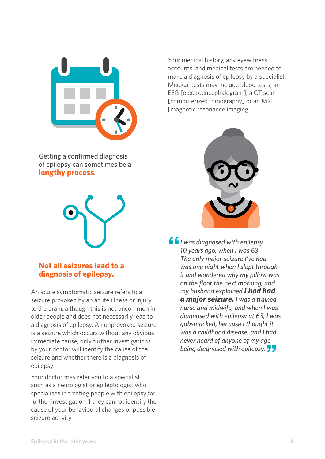

Getting a confirmed diagnosis of epilepsy can sometimes be a **lengthy process**.



### **Not all seizures lead to a diagnosis of epilepsy.**

An acute symptomatic seizure refers to a seizure provoked by an acute illness or injury to the brain, although this is not uncommon in older people and does not necessarily lead to a diagnosis of epilepsy. An unprovoked seizure is a seizure which occurs without any obvious immediate cause, only further investigations by your doctor will identify the cause of the seizure and whether there is a diagnosis of epilepsy.

Your doctor may refer you to a specialist such as a neurologist or epileptologist who specialises in treating people with epilepsy for further investigation if they cannot identify the cause of your behavioural changes or possible seizure activity.

Your medical history, any eyewitness accounts, and medical tests are needed to make a diagnosis of epilepsy by a specialist. Medical tests may include blood tests, an EEG [electroencephalogram], a CT scan [computerized tomography] or an MRI [magnetic resonance imaging].



**''***I was diagnosed with epilepsy 10 years ago, when I was 63. The only major seizure I've had was one night when I slept through it and wondered why my pillow was on the floor the next morning, and my husband explained I had had a major seizure. I was a trained nurse and midwife, and when I was diagnosed with epilepsy at 63, I was gobsmacked, because I thought it was a childhood disease, and I had never heard of anyone of my age being diagnosed with epilepsy.*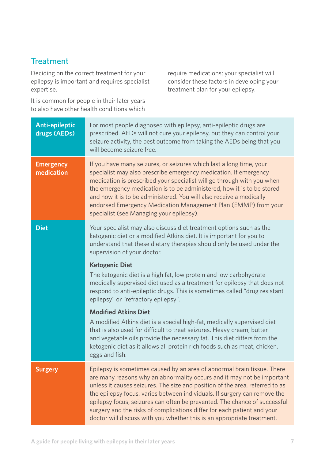## **Treatment**

Deciding on the correct treatment for your epilepsy is important and requires specialist expertise.

It is common for people in their later years to also have other health conditions which

require medications; your specialist will consider these factors in developing your treatment plan for your epilepsy.

| <b>Anti-epileptic</b><br>drugs (AEDs) | For most people diagnosed with epilepsy, anti-epileptic drugs are<br>prescribed. AEDs will not cure your epilepsy, but they can control your<br>seizure activity, the best outcome from taking the AEDs being that you<br>will become seizure free.                                                                                                                                                                                                                                                                                              |
|---------------------------------------|--------------------------------------------------------------------------------------------------------------------------------------------------------------------------------------------------------------------------------------------------------------------------------------------------------------------------------------------------------------------------------------------------------------------------------------------------------------------------------------------------------------------------------------------------|
| <b>Emergency</b><br>medication        | If you have many seizures, or seizures which last a long time, your<br>specialist may also prescribe emergency medication. If emergency<br>medication is prescribed your specialist will go through with you when<br>the emergency medication is to be administered, how it is to be stored<br>and how it is to be administered. You will also receive a medically<br>endorsed Emergency Medication Management Plan (EMMP) from your<br>specialist (see Managing your epilepsy).                                                                 |
| <b>Diet</b>                           | Your specialist may also discuss diet treatment options such as the<br>ketogenic diet or a modified Atkins diet. It is important for you to<br>understand that these dietary therapies should only be used under the<br>supervision of your doctor.                                                                                                                                                                                                                                                                                              |
|                                       | <b>Ketogenic Diet</b><br>The ketogenic diet is a high fat, low protein and low carbohydrate<br>medically supervised diet used as a treatment for epilepsy that does not<br>respond to anti-epileptic drugs. This is sometimes called "drug resistant<br>epilepsy" or "refractory epilepsy".                                                                                                                                                                                                                                                      |
|                                       | <b>Modified Atkins Diet</b><br>A modified Atkins diet is a special high-fat, medically supervised diet<br>that is also used for difficult to treat seizures. Heavy cream, butter<br>and vegetable oils provide the necessary fat. This diet differs from the<br>ketogenic diet as it allows all protein rich foods such as meat, chicken,<br>eggs and fish.                                                                                                                                                                                      |
| <b>Surgery</b>                        | Epilepsy is sometimes caused by an area of abnormal brain tissue. There<br>are many reasons why an abnormality occurs and it may not be important<br>unless it causes seizures. The size and position of the area, referred to as<br>the epilepsy focus, varies between individuals. If surgery can remove the<br>epilepsy focus, seizures can often be prevented. The chance of successful<br>surgery and the risks of complications differ for each patient and your<br>doctor will discuss with you whether this is an appropriate treatment. |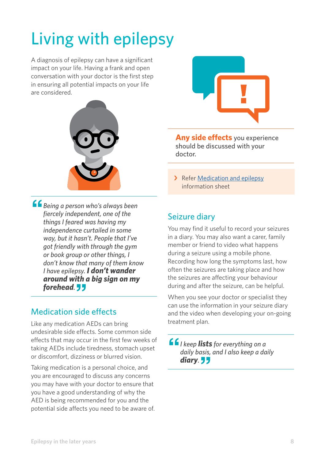## Living with epilepsy

A diagnosis of epilepsy can have a significant impact on your life. Having a frank and open conversation with your doctor is the first step in ensuring all potential impacts on your life are considered.



**''***Being a person who's always been fiercely independent, one of the things I feared was having my independence curtailed in some way, but it hasn't. People that I've got friendly with through the gym or book group or other things, I don't know that many of them know I have epilepsy. I don't wander around with a big sign on my forehead.* **''**

## Medication side effects

Like any medication AEDs can bring undesirable side effects. Some common side effects that may occur in the first few weeks of taking AEDs include tiredness, stomach upset or discomfort, dizziness or blurred vision.

Taking medication is a personal choice, and you are encouraged to discuss any concerns you may have with your doctor to ensure that you have a good understanding of why the AED is being recommended for you and the potential side affects you need to be aware of.



**Any side effects** you experience should be discussed with your doctor.

> Refer Medication and epilepsy information sheet

## Seizure diary

You may find it useful to record your seizures in a diary. You may also want a carer, family member or friend to video what happens during a seizure using a mobile phone. Recording how long the symptoms last, how often the seizures are taking place and how the seizures are affecting your behaviour during and after the seizure, can be helpful.

When you see your doctor or specialist they can use the information in your seizure diary and the video when developing your on-going treatment plan.

**''***I keep lists for everything on a daily basis, and I also keep a daily*  diary. **33**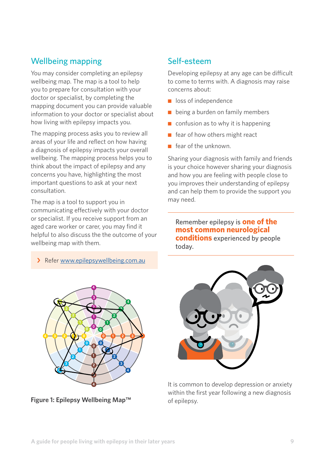## Wellbeing mapping

You may consider completing an epilepsy wellbeing map. The map is a tool to help you to prepare for consultation with your doctor or specialist, by completing the mapping document you can provide valuable information to your doctor or specialist about how living with epilepsy impacts you.

The mapping process asks you to review all areas of your life and reflect on how having a diagnosis of epilepsy impacts your overall wellbeing. The mapping process helps you to think about the impact of epilepsy and any concerns you have, highlighting the most important questions to ask at your next consultation.

The map is a tool to support you in communicating effectively with your doctor or specialist. If you receive support from an aged care worker or carer, you may find it helpful to also discuss the the outcome of your wellbeing map with them.

› Refer [www.epilepsywellbeing.com.au](http://www.epilepsywellbeing.com.au/)



**Figure 1: Epilepsy Wellbeing Map™**

## Self-esteem

Developing epilepsy at any age can be difficult to come to terms with. A diagnosis may raise concerns about:

- loss of independence
- being a burden on family members
- $\Box$  confusion as to why it is happening
- fear of how others might react
- fear of the unknown.

Sharing your diagnosis with family and friends is your choice however sharing your diagnosis and how you are feeling with people close to you improves their understanding of epilepsy and can help them to provide the support you may need.

Remember epilepsy is **one of the most common neurological conditions** experienced by people today.



It is common to develop depression or anxiety within the first year following a new diagnosis of epilepsy.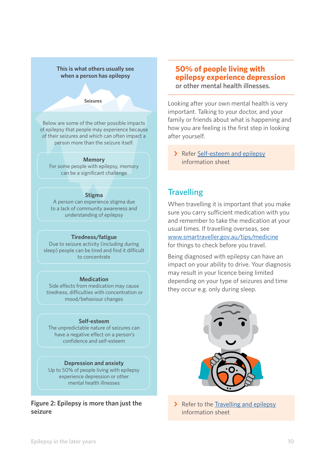#### **This is what others usually see when a person has epilepsy**

#### **Seizures**

Below are some of the other possible impacts of epilepsy that people may experience because of their seizures and which can often impact a person more than the seizure itself.

#### **Memory**

For some people with epilepsy, memory can be a significant challenge

#### **Stigma**

A person can experience stigma due to a lack of community awareness and understanding of epilepsy

#### **Tiredness/fatigue**

Due to seizure activity (including during sleep) people can be tired and find it difficult to concentrate

#### **Medication**

Side effects from medication may cause tiredness, difficulties with concentration or mood/behaviour changes

#### **Self-esteem**

The unpredictable nature of seizures can have a negative effect on a person's confidence and self-esteem

**Depression and anxiety** Up to 50% of people living with epilepsy experience depression or other mental health illnesses

**Figure 2: Epilepsy is more than just the seizure**

#### **50% of people living with epilepsy experience depression** or other mental health illnesses.

Looking after your own mental health is very important. Talking to your doctor, and your family or friends about what is happening and how you are feeling is the first step in looking after yourself.

> Refer Self-esteem and epilepsy information sheet

## **Travelling**

When travelling it is important that you make sure you carry sufficient medication with you and remember to take the medication at your usual times. If travelling overseas, see [www.smartraveller.gov.au/tips/medicine](http://www.smartraveller.gov.au/tips/medicine) for things to check before you travel.

Being diagnosed with epilepsy can have an impact on your ability to drive. Your diagnosis may result in your licence being limited depending on your type of seizures and time they occur e.g. only during sleep.



> Refer to the Travelling and epilepsy information sheet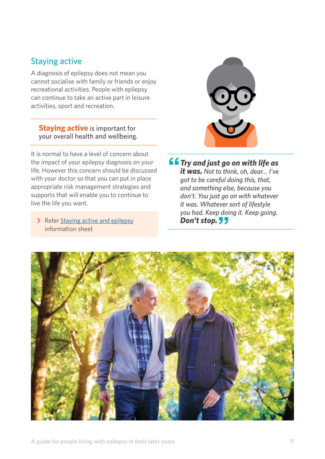## Staying active

A diagnosis of epilepsy does not mean you cannot socialise with family or friends or enjoy recreational activities. People with epilepsy can continue to take an active part in leisure activities, sport and recreation.

### **Staying active** is important for your overall health and wellbeing.

It is normal to have a level of concern about the impact of your epilepsy diagnosis on your life. However this concern should be discussed with your doctor so that you can put in place appropriate risk management strategies and supports that will enable you to continue to live the life you want.

> Refer Staying active and epilepsy information sheet



**''***Try and just go on with life as it was. Not to think, oh, dear… I've got to be careful doing this, that, and something else, because you don't. You just go on with whatever it was. Whatever sort of lifestyle you had. Keep doing it. Keep going.* **Don't stop.** 77

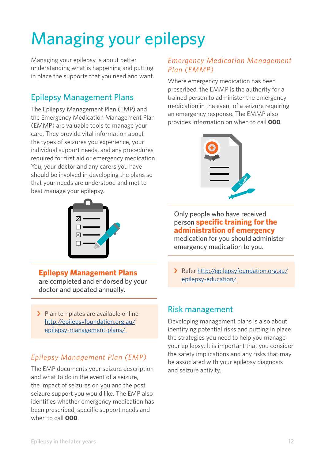## Managing your epilepsy

Managing your epilepsy is about better understanding what is happening and putting in place the supports that you need and want.

## Epilepsy Management Plans

The Epilepsy Management Plan (EMP) and the Emergency Medication Management Plan (EMMP) are valuable tools to manage your care. They provide vital information about the types of seizures you experience, your individual support needs, and any procedures required for first aid or emergency medication. You, your doctor and any carers you have should be involved in developing the plans so that your needs are understood and met to best manage your epilepsy.



**Epilepsy Management Plans** are completed and endorsed by your doctor and updated annually.

> Plan templates are available online [http://epilepsyfoundation.org.au/](http://epilepsyfoundation.org.au/epilepsy-management-plans/) [epilepsy-management-plans/](http://epilepsyfoundation.org.au/epilepsy-management-plans/) 

## *Epilepsy Management Plan (EMP)*

The EMP documents your seizure description and what to do in the event of a seizure, the impact of seizures on you and the post seizure support you would like. The EMP also identifies whether emergency medication has been prescribed, specific support needs and when to call **000**.

## *Emergency Medication Management Plan (EMMP)*

Where emergency medication has been prescribed, the EMMP is the authority for a trained person to administer the emergency medication in the event of a seizure requiring an emergency response. The EMMP also provides information on when to call **000**.



## Only people who have received person **specific training for the administration of emergency**

medication for you should administer emergency medication to you.

› Refer [http://epilepsyfoundation.org.au/](http://epilepsyfoundation.org.au/epilepsy-education/) [epilepsy-education/](http://epilepsyfoundation.org.au/epilepsy-education/)

## Risk management

Developing management plans is also about identifying potential risks and putting in place the strategies you need to help you manage your epilepsy. It is important that you consider the safety implications and any risks that may be associated with your epilepsy diagnosis and seizure activity.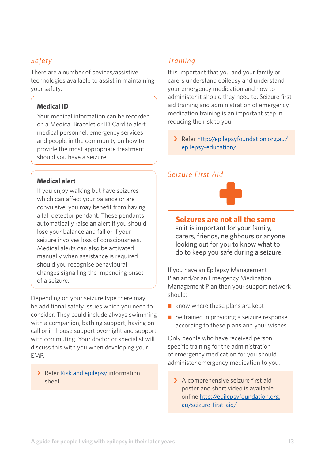## *Safety*

There are a number of devices/assistive technologies available to assist in maintaining your safety:

#### **Medical ID**

Your medical information can be recorded on a Medical Bracelet or ID Card to alert medical personnel, emergency services and people in the community on how to provide the most appropriate treatment should you have a seizure.

#### **Medical alert**

If you enjoy walking but have seizures which can affect your balance or are convulsive, you may benefit from having a fall detector pendant. These pendants automatically raise an alert if you should lose your balance and fall or if your seizure involves loss of consciousness. Medical alerts can also be activated manually when assistance is required should you recognise behavioural changes signalling the impending onset of a seizure.

Depending on your seizure type there may be additional safety issues which you need to consider. They could include always swimming with a companion, bathing support, having oncall or in-house support overnight and support with commuting. Your doctor or specialist will discuss this with you when developing your EMP.

#### > Refer Risk and epilepsy information sheet

## *Training*

It is important that you and your family or carers understand epilepsy and understand your emergency medication and how to administer it should they need to. Seizure first aid training and administration of emergency medication training is an important step in reducing the risk to you.

› Refer http://epilepsyfoundation.org.au/ epilepsy-education/

### *Seizure First Aid*



### **Seizures are not all the same**

so it is important for your family, carers, friends, neighbours or anyone looking out for you to know what to do to keep you safe during a seizure.

If you have an Epilepsy Management Plan and/or an Emergency Medication Management Plan then your support network should:

- $\blacksquare$  know where these plans are kept
- be trained in providing a seizure response according to these plans and your wishes.

Only people who have received person specific training for the administration of emergency medication for you should administer emergency medication to you.

> A comprehensive seizure first aid poster and short video is available online [http://epilepsyfoundation.org.](http://epilepsyfoundation.org.au/seizure-first-aid/) [au/seizure-first-aid/](http://epilepsyfoundation.org.au/seizure-first-aid/)